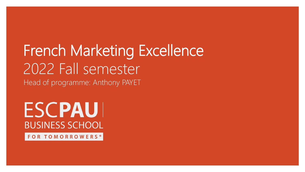# French Marketing Excellence 2022 Fall semester Head of programme: Anthony PAYET

# **ESCPAUI BUSINESS SCHOOL**

FOR TOMORROWERS<sup>®</sup>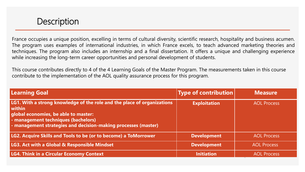

France occupies a unique position, excelling in terms of cultural diversity, scientific research, hospitality and business acumen. The program uses examples of international industries, in which France excels, to teach advanced marketing theories and techniques. The program also includes an internship and a final dissertation. It offers a unique and challenging experience while increasing the long-term career opportunities and personal development of students.

This course contributes directly to 4 of the 4 Learning Goals of the Master Program. The measurements taken in this course contribute to the implementation of the AOL quality assurance process for this program.

| <b>Learning Goal</b>                                                                                                                                                                                                                 | <b>Type of contribution</b> | <b>Measure</b>     |
|--------------------------------------------------------------------------------------------------------------------------------------------------------------------------------------------------------------------------------------|-----------------------------|--------------------|
| LG1. With a strong knowledge of the role and the place of organizations<br>l within<br>global economies, be able to master:<br>- management techniques (bachelors)<br>- management strategies and decision-making processes (master) | <b>Exploitation</b>         | <b>AOL Process</b> |
| LG2. Acquire Skills and Tools to be (or to become) a ToMorrower                                                                                                                                                                      | <b>Development</b>          | <b>AOL Process</b> |
| <b>LG3. Act with a Global &amp; Responsible Mindset</b>                                                                                                                                                                              | <b>Development</b>          | <b>AOL Process</b> |
| <b>LG4. Think in a Circular Economy Context</b>                                                                                                                                                                                      | <b>Initiation</b>           | <b>AOL Process</b> |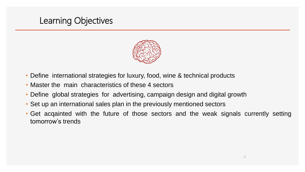

- Define international strategies for luxury, food, wine & technical products
- Master the main characteristics of these 4 sectors
- Define global strategies for advertising, campaign design and digital growth
- Set up an international sales plan in the previously mentioned sectors
- Get acqainted with the future of those sectors and the weak signals currently setting tomorrow's trends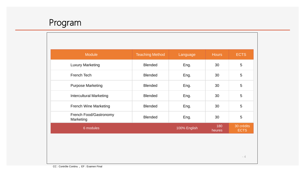

| <b>Module</b>                       | <b>Teaching Method</b> | Language     | <b>Hours</b>  | <b>ECTS</b>               |
|-------------------------------------|------------------------|--------------|---------------|---------------------------|
| <b>Luxury Marketing</b>             | <b>Blended</b>         | Eng.         | 30            | 5                         |
| French Tech                         | <b>Blended</b>         | Eng.         | 30            | 5                         |
| <b>Purpose Marketing</b>            | <b>Blended</b>         | Eng.         | 30            | 5                         |
| <b>Intercultural Marketing</b>      | <b>Blended</b>         | Eng.         | 30            | 5                         |
| <b>French Wine Marketing</b>        | <b>Blended</b>         | Eng.         | 30            | 5                         |
| French Food/Gastronomy<br>Marketing | <b>Blended</b>         | Eng.         | 30            | $\overline{5}$            |
| 6 modules                           |                        | 100% English | 180<br>heures | 30 crédits<br><b>ECTS</b> |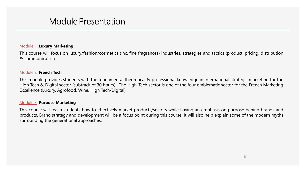### Module Presentation

#### Module 1: **Luxury Marketing**

This course will focus on luxury/fashion/cosmetics (Inc. fine fragrances) industries, strategies and tactics (product, pricing, distribution & communication.

#### Module 2: **French Tech**

This module provides students with the fundamental theoretical & professional knowledge in international strategic marketing for the High Tech & Digital sector (subtrack of 30 hours). The High-Tech sector is one of the four emblematic sector for the French Marketing Excellence (Luxury, Agrofood, Wine, High Tech/Digital).

#### Module 3: **Purpose Marketing**

This course will teach students how to effectively market products/sectors while having an emphasis on purpose behind brands and products. Brand strategy and development will be a focus point during this course. It will also help explain some of the modern myths surrounding the generational approaches.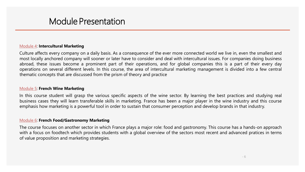### Module Presentation

#### Module 4: **Intercultural Marketing**

Culture affects every company on a daily basis. As a consequence of the ever more connected world we live in, even the smallest and most locally anchored company will sooner or later have to consider and deal with intercultural issues. For companies doing business abroad, these issues become a prominent part of their operations, and for global companies this is a part of their every day operations on several different levels. In this course, the area of intercultural marketing management is divided into a few central thematic concepts that are discussed from the prism of theory and practice

#### Module 5: **French Wine Marketing**

In this course student will grasp the various specific aspects of the wine sector. By learning the best practices and studying real business cases they will learn transferable skills in marketing. France has been a major player in the wine industry and this course emphasis how marketing is a powerful tool in order to sustain that consumer perception and develop brands in that industry.

#### Module 6: **French Food/Gastronomy Marketing**

The course focuses on another sector in which France plays a major role: food and gastronomy. This course has a hands-on approach with a focus on foodtech which provides students with a global overview of the sectors most recent and advanced pratices in terms of value proposition and marketing strategies.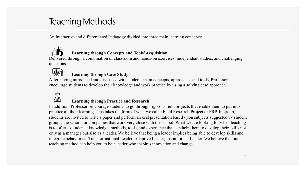## Teaching Methods

An Interactive and differentiated Pedagogy divided into three main learning concepts:



### **Learning through Concepts and Tools' Acquisition**

Delivered through a combination of classroom and hands-on exercises, independent studies, and challenging questions.



### **Learning through Case Study**

After having introduced and discussed with students main concepts, approaches and tools, Professors encourage students to develop their knowledge and work practice by using a solving case approach.



#### **Learning through Practice and Research**

In addition, Professors encourage students to go through rigorous field projects that enable them to put into practice all their learning. This takes the form of what we call a Field Research Project or FRP. In group, students are invited to write a paper and perform an oral presentation based upon subjects suggested by student groups, the school, or companies that work very close with the school. What we are looking for when teaching is to offer to students: knowledge, methods, tools, and experience that can help them to develop their skills not only as a manager but also as a leader. We believe that being a leader implies being able to develop skills and integrate behavior as: Transformational Leader, Adaptive Leader, Inspirational Leader. We believe that our teaching method can help you to be a leader who inspires innovation and change.